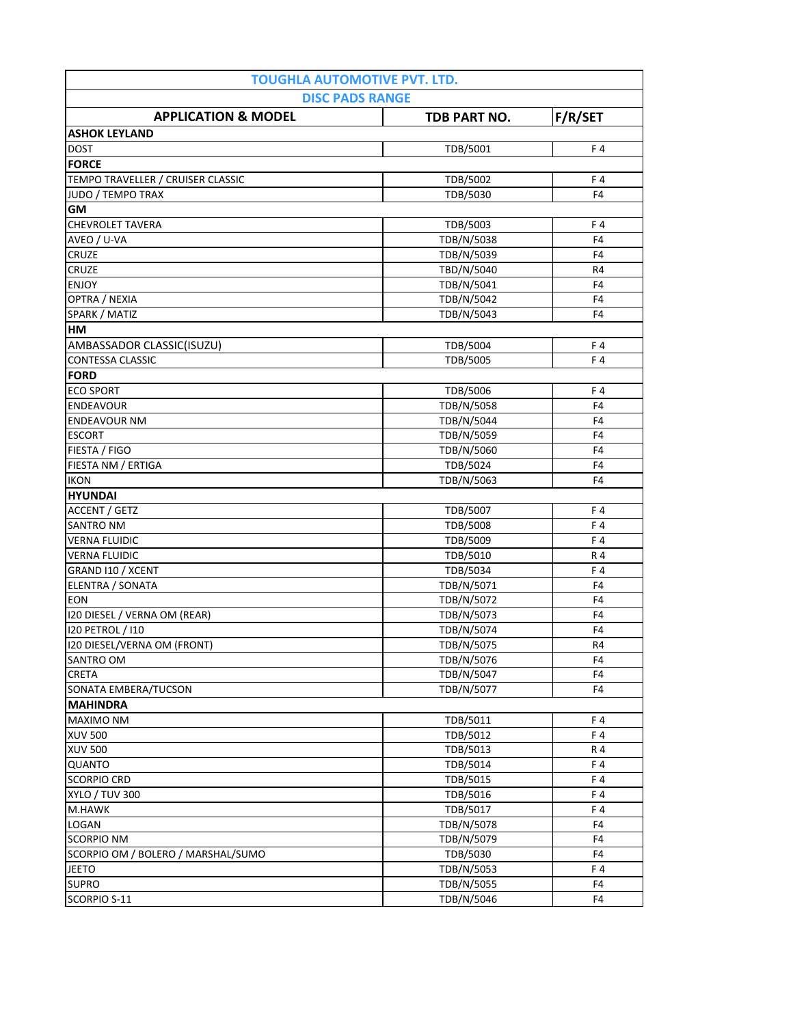| <b>TOUGHLA AUTOMOTIVE PVT. LTD.</b><br><b>DISC PADS RANGE</b> |              |                |  |
|---------------------------------------------------------------|--------------|----------------|--|
| <b>APPLICATION &amp; MODEL</b>                                | TDB PART NO. | F/R/SET        |  |
| <b>ASHOK LEYLAND</b>                                          |              |                |  |
| <b>DOST</b>                                                   | TDB/5001     | F4             |  |
| <b>FORCE</b>                                                  |              |                |  |
| TEMPO TRAVELLER / CRUISER CLASSIC                             | TDB/5002     | F4             |  |
| JUDO / TEMPO TRAX                                             | TDB/5030     | F <sub>4</sub> |  |
| GM                                                            |              |                |  |
| CHEVROLET TAVERA                                              | TDB/5003     | F4             |  |
| AVEO / U-VA                                                   | TDB/N/5038   | F <sub>4</sub> |  |
| CRUZE                                                         | TDB/N/5039   | F <sub>4</sub> |  |
| CRUZE                                                         | TBD/N/5040   | R4             |  |
| <b>ENJOY</b>                                                  | TDB/N/5041   | F <sub>4</sub> |  |
| OPTRA / NEXIA                                                 | TDB/N/5042   | F <sub>4</sub> |  |
| SPARK / MATIZ                                                 | TDB/N/5043   | F <sub>4</sub> |  |
| HM                                                            |              |                |  |
| AMBASSADOR CLASSIC(ISUZU)                                     | TDB/5004     | F4             |  |
| <b>CONTESSA CLASSIC</b>                                       | TDB/5005     | F4             |  |
| <b>FORD</b>                                                   |              |                |  |
| <b>ECO SPORT</b>                                              | TDB/5006     | F4             |  |
| <b>ENDEAVOUR</b>                                              | TDB/N/5058   | F <sub>4</sub> |  |
| <b>ENDEAVOUR NM</b>                                           | TDB/N/5044   | F <sub>4</sub> |  |
| <b>ESCORT</b>                                                 | TDB/N/5059   | F <sub>4</sub> |  |
| FIESTA / FIGO                                                 | TDB/N/5060   | F <sub>4</sub> |  |
| FIESTA NM / ERTIGA                                            | TDB/5024     | F <sub>4</sub> |  |
| <b>IKON</b>                                                   | TDB/N/5063   | F4             |  |
| <b>HYUNDAI</b>                                                |              |                |  |
| ACCENT / GETZ                                                 | TDB/5007     | F4             |  |
| <b>SANTRO NM</b>                                              | TDB/5008     | F4             |  |
| <b>VERNA FLUIDIC</b>                                          | TDB/5009     | F 4            |  |
| <b>VERNA FLUIDIC</b>                                          | TDB/5010     | R 4            |  |
| GRAND I10 / XCENT                                             | TDB/5034     | F4             |  |
| ELENTRA / SONATA                                              | TDB/N/5071   | F <sub>4</sub> |  |
| <b>EON</b>                                                    | TDB/N/5072   | F <sub>4</sub> |  |
| I20 DIESEL / VERNA OM (REAR)                                  | TDB/N/5073   | F <sub>4</sub> |  |
| 120 PETROL / 110                                              | TDB/N/5074   | F <sub>4</sub> |  |
| I20 DIESEL/VERNA OM (FRONT)                                   | TDB/N/5075   | R4             |  |
| SANTRO OM                                                     | TDB/N/5076   | F <sub>4</sub> |  |
| CRETA                                                         | TDB/N/5047   | F <sub>4</sub> |  |
| SONATA EMBERA/TUCSON                                          | TDB/N/5077   | F4             |  |
| <b>MAHINDRA</b>                                               |              |                |  |
| MAXIMO NM                                                     | TDB/5011     | F4             |  |
| <b>XUV 500</b>                                                | TDB/5012     | F4             |  |
| <b>XUV 500</b>                                                | TDB/5013     | R 4            |  |
| QUANTO                                                        | TDB/5014     | F4             |  |
| <b>SCORPIO CRD</b>                                            | TDB/5015     | F4             |  |
| <b>XYLO / TUV 300</b>                                         | TDB/5016     | F4             |  |
| M.HAWK                                                        | TDB/5017     | F4             |  |
| LOGAN                                                         | TDB/N/5078   | F <sub>4</sub> |  |
| <b>SCORPIO NM</b>                                             | TDB/N/5079   | F <sub>4</sub> |  |
| SCORPIO OM / BOLERO / MARSHAL/SUMO                            | TDB/5030     | F <sub>4</sub> |  |
| <b>JEETO</b>                                                  | TDB/N/5053   | F4             |  |
| <b>SUPRO</b>                                                  | TDB/N/5055   | F4             |  |
| SCORPIO S-11                                                  | TDB/N/5046   | F4             |  |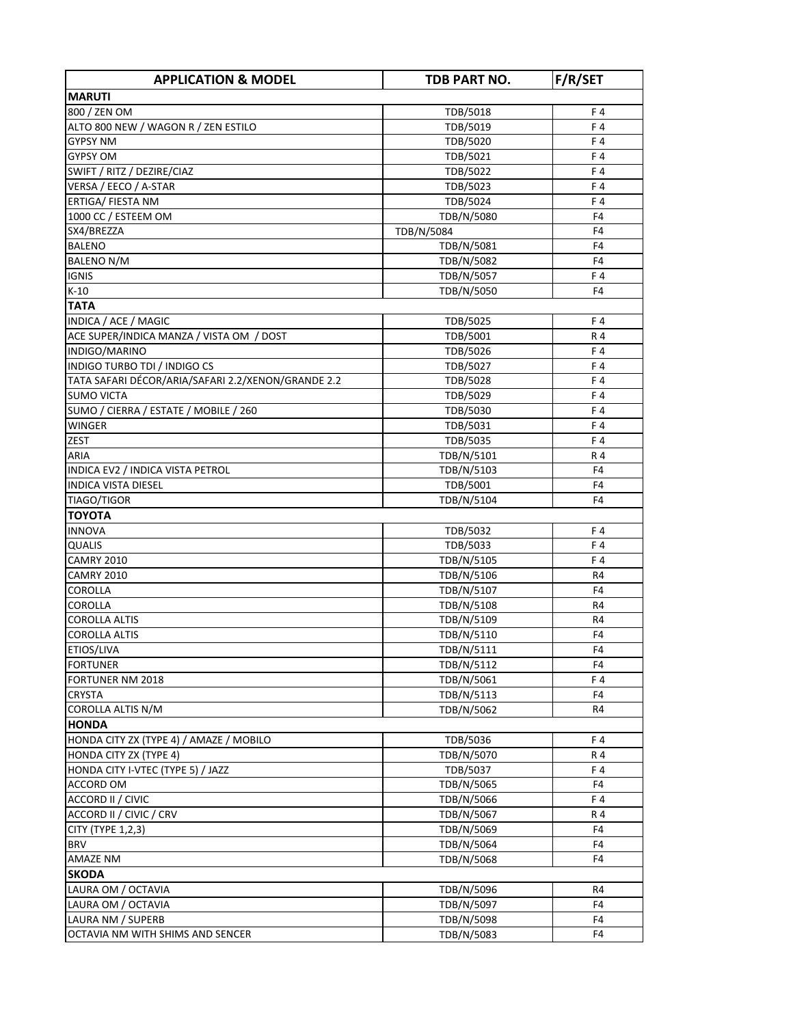| <b>APPLICATION &amp; MODEL</b>                     | TDB PART NO. | F/R/SET        |
|----------------------------------------------------|--------------|----------------|
| <b>MARUTI</b>                                      |              |                |
| 800 / ZEN OM                                       | TDB/5018     | F 4            |
| ALTO 800 NEW / WAGON R / ZEN ESTILO                | TDB/5019     | F4             |
| <b>GYPSY NM</b>                                    | TDB/5020     | F4             |
| <b>GYPSY OM</b>                                    | TDB/5021     | F4             |
| SWIFT / RITZ / DEZIRE/CIAZ                         | TDB/5022     | F4             |
| VERSA / EECO / A-STAR                              | TDB/5023     | F4             |
| ERTIGA/ FIESTA NM                                  | TDB/5024     | F4             |
| 1000 CC / ESTEEM OM                                | TDB/N/5080   | F4             |
| SX4/BREZZA                                         | TDB/N/5084   | F <sub>4</sub> |
| <b>BALENO</b>                                      | TDB/N/5081   | F <sub>4</sub> |
| <b>BALENO N/M</b>                                  | TDB/N/5082   | F <sub>4</sub> |
| <b>IGNIS</b>                                       | TDB/N/5057   | F4             |
| $K-10$                                             | TDB/N/5050   | F4             |
| <b>TATA</b>                                        |              |                |
| INDICA / ACE / MAGIC                               | TDB/5025     | F 4            |
| ACE SUPER/INDICA MANZA / VISTA OM / DOST           | TDB/5001     | R 4            |
| INDIGO/MARINO                                      | TDB/5026     | F4             |
| INDIGO TURBO TDI / INDIGO CS                       | TDB/5027     | F4             |
| TATA SAFARI DÉCOR/ARIA/SAFARI 2.2/XENON/GRANDE 2.2 | TDB/5028     | F4             |
| <b>SUMO VICTA</b>                                  | TDB/5029     | F4             |
| SUMO / CIERRA / ESTATE / MOBILE / 260              | TDB/5030     | F4             |
| WINGER                                             | TDB/5031     | F4             |
| <b>ZEST</b>                                        | TDB/5035     | F4             |
| ARIA                                               | TDB/N/5101   | R 4            |
| INDICA EV2 / INDICA VISTA PETROL                   | TDB/N/5103   | F4             |
| <b>INDICA VISTA DIESEL</b>                         | TDB/5001     | F4             |
| TIAGO/TIGOR                                        | TDB/N/5104   | F4             |
| <b>TOYOTA</b>                                      |              |                |
| <b>INNOVA</b>                                      | TDB/5032     | F4             |
| <b>QUALIS</b>                                      | TDB/5033     | F4             |
| <b>CAMRY 2010</b>                                  | TDB/N/5105   | F4             |
| <b>CAMRY 2010</b>                                  | TDB/N/5106   | R4             |
| <b>COROLLA</b>                                     | TDB/N/5107   | F <sub>4</sub> |
| <b>COROLLA</b>                                     | TDB/N/5108   | R <sub>4</sub> |
| <b>COROLLA ALTIS</b>                               | TDB/N/5109   | R4             |
| <b>COROLLA ALTIS</b>                               | TDB/N/5110   | F <sub>4</sub> |
| ETIOS/LIVA                                         | TDB/N/5111   | F4             |
| <b>FORTUNER</b>                                    | TDB/N/5112   | F <sub>4</sub> |
| <b>FORTUNER NM 2018</b>                            | TDB/N/5061   | F4             |
| <b>CRYSTA</b>                                      | TDB/N/5113   | F4             |
| COROLLA ALTIS N/M                                  | TDB/N/5062   | R4             |
| <b>HONDA</b>                                       |              |                |
| HONDA CITY ZX (TYPE 4) / AMAZE / MOBILO            | TDB/5036     | F4             |
| HONDA CITY ZX (TYPE 4)                             | TDB/N/5070   | R 4            |
| HONDA CITY I-VTEC (TYPE 5) / JAZZ                  | TDB/5037     | F4             |
| <b>ACCORD OM</b>                                   | TDB/N/5065   | F <sub>4</sub> |
| ACCORD II / CIVIC                                  | TDB/N/5066   | F4             |
| ACCORD II / CIVIC / CRV                            | TDB/N/5067   | R 4            |
| CITY (TYPE 1,2,3)                                  | TDB/N/5069   | F4             |
| <b>BRV</b>                                         | TDB/N/5064   | F4             |
| <b>AMAZE NM</b>                                    | TDB/N/5068   | F <sub>4</sub> |
| <b>SKODA</b>                                       |              |                |
| LAURA OM / OCTAVIA                                 | TDB/N/5096   | R4             |
| LAURA OM / OCTAVIA                                 | TDB/N/5097   | F4             |
| LAURA NM / SUPERB                                  | TDB/N/5098   | F4             |
| OCTAVIA NM WITH SHIMS AND SENCER                   | TDB/N/5083   | F4             |
|                                                    |              |                |